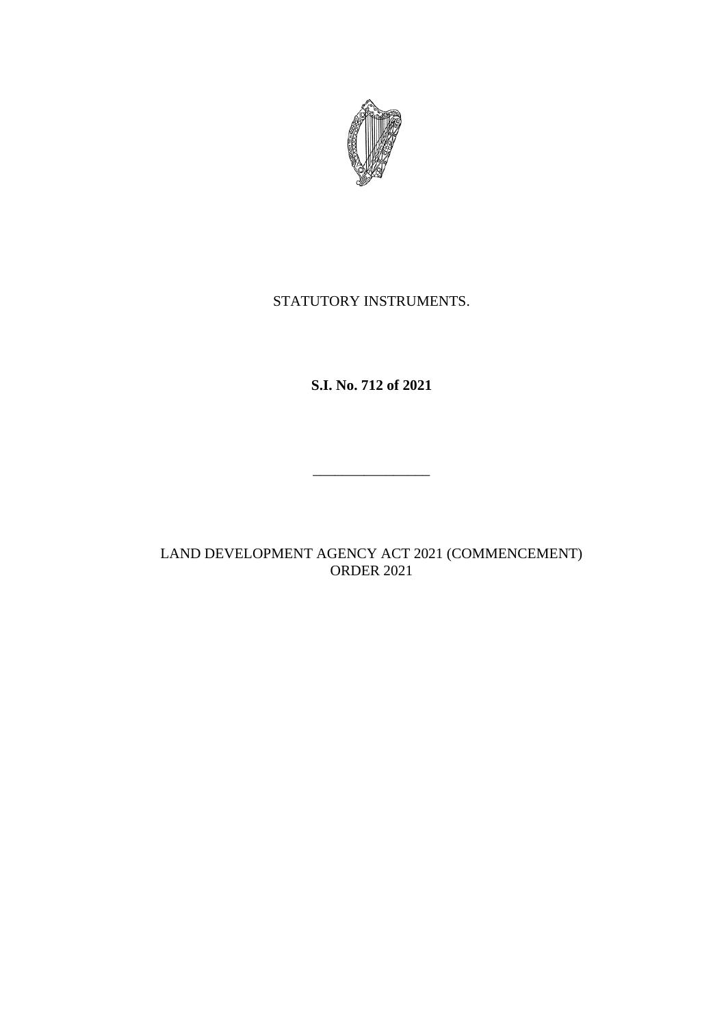

## STATUTORY INSTRUMENTS.

# **S.I. No. 712 of 2021**

\_\_\_\_\_\_\_\_\_\_\_\_\_\_\_\_

## LAND DEVELOPMENT AGENCY ACT 2021 (COMMENCEMENT) ORDER 2021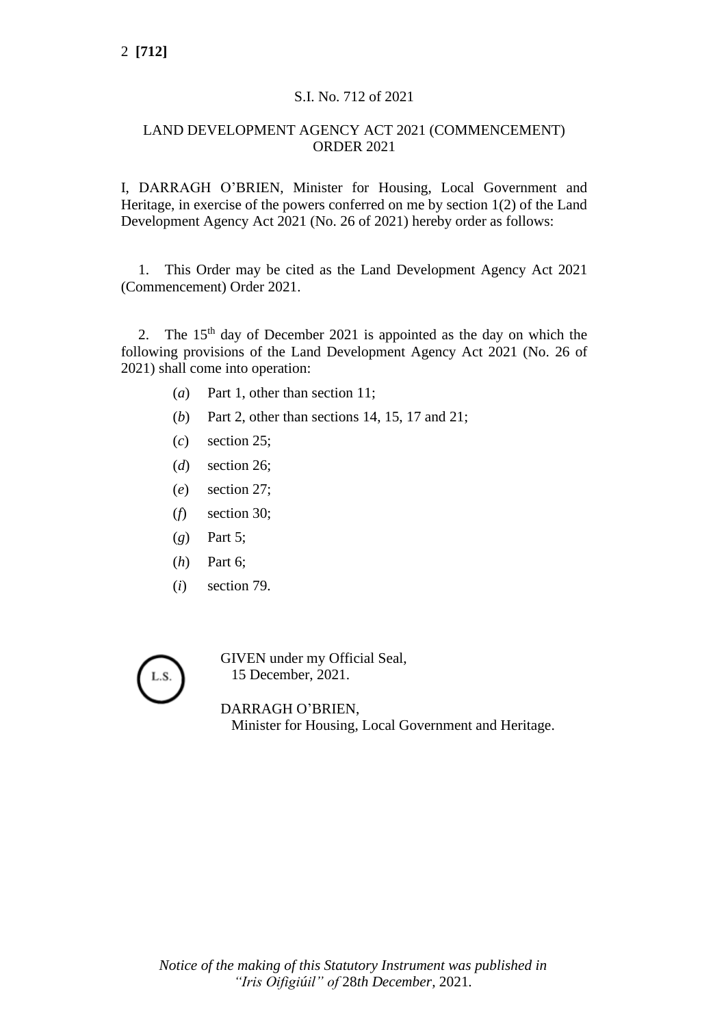### S.I. No. 712 of 2021

#### LAND DEVELOPMENT AGENCY ACT 2021 (COMMENCEMENT) ORDER 2021

I, DARRAGH O'BRIEN, Minister for Housing, Local Government and Heritage, in exercise of the powers conferred on me by section 1(2) of the Land Development Agency Act 2021 (No. 26 of 2021) hereby order as follows:

1. This Order may be cited as the Land Development Agency Act 2021 (Commencement) Order 2021.

2. The  $15<sup>th</sup>$  day of December 2021 is appointed as the day on which the following provisions of the Land Development Agency Act 2021 (No. 26 of 2021) shall come into operation:

- (*a*) Part 1, other than section 11;
- (*b*) Part 2, other than sections 14, 15, 17 and 21;
- (*c*) section 25;
- (*d*) section 26;
- (*e*) section 27;
- (*f*) section 30;
- (*g*) Part 5;
- (*h*) Part 6;
- (*i*) section 79.



GIVEN under my Official Seal, 15 December, 2021.

DARRAGH O'BRIEN, Minister for Housing, Local Government and Heritage.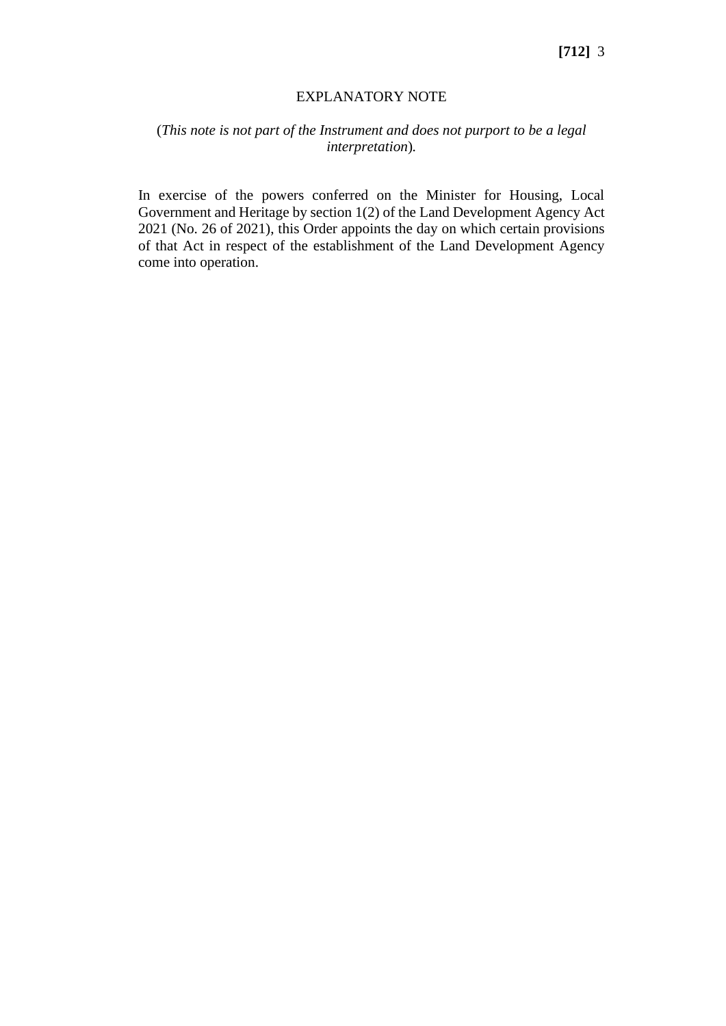#### EXPLANATORY NOTE

#### (*This note is not part of the Instrument and does not purport to be a legal interpretation*)*.*

In exercise of the powers conferred on the Minister for Housing, Local Government and Heritage by section 1(2) of the Land Development Agency Act 2021 (No. 26 of 2021), this Order appoints the day on which certain provisions of that Act in respect of the establishment of the Land Development Agency come into operation.